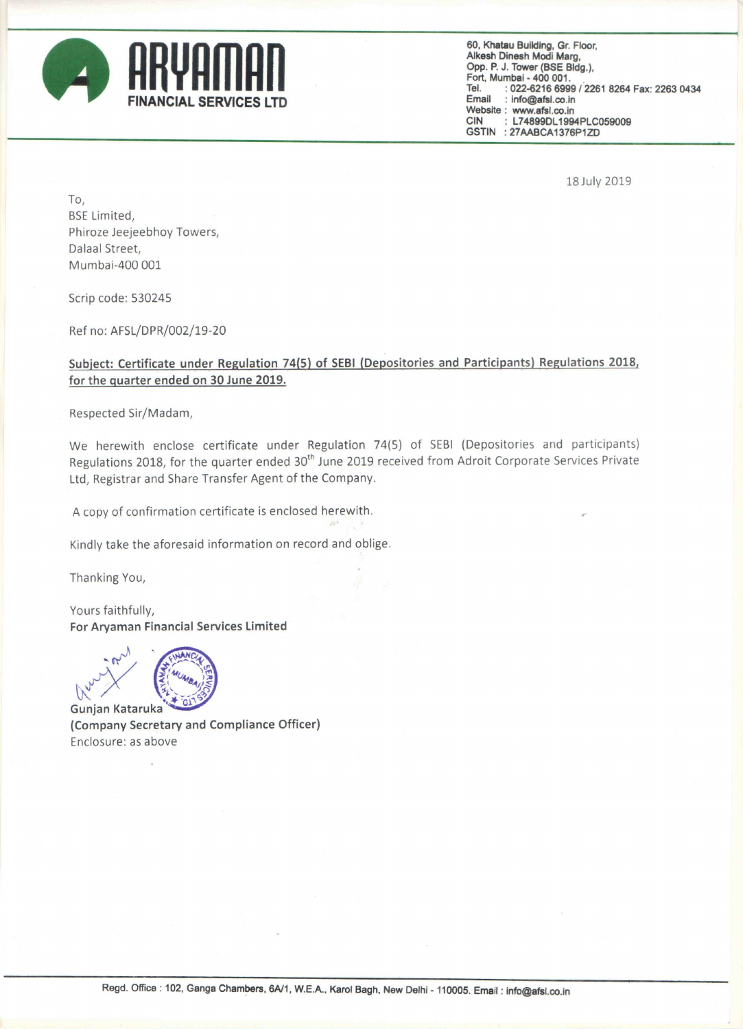

Email : lnfo@afsl.oo.ln Website: www.afsl.co.in<br>CIN : L74899DL1994 : L74899DL1994PLC059009 GSTIN :27AABCA1376P1ZD 60, Khatau Building, Gr. Floor, Alkesh Dinesh Modi Marg,<br>Opp. P. J. Tower (BSE Bldg.), Opp. P. J. Tower (BSE Bldg.),<br>Fort, Mumbai - 400 001. Tel. :022-6216 6999/2261 8264 Fax: 2263 0434

18Ju|y 2019

TO, BSE Limited, Phiroze Jeejeebhoy Towers, Dalaal Street, Mumbai-400 001

Scrip code: 530245

Ref no: AFSL/DPR/002/19-20

## Subject: Certificate under Regulation 74(5) of SEBI (Depositories and Participants) Regulations 2018, for the guarter ended on 30 June 2019.

Respected Sir/Madam,

We herewith enclose certificate under Regulation 74(5) of SEBI (Depositories and participants) Regulations 2018, for the quarter ended 30<sup>th</sup> June 2019 received from Adroit Corporate Services Private Ltd, Registrar and Share Transfer Agent of the Company.

<sup>A</sup> copy of confirmation certificate is enclosed herewith.

Kindly take the aforesaid information on record and oblige.

Thanking You,

Yours faithfully, For Aryaman Financial Services Limited

**LD** 

Gunjan Kataruka (Company Secretary and Compliance Officer) Enclosure: as above